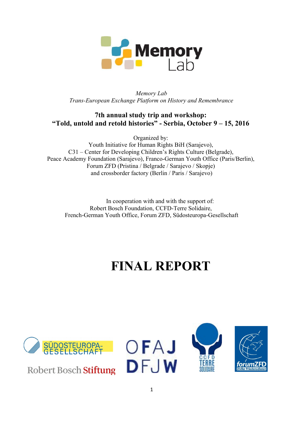

*Memory Lab Trans-European Exchange Platform on History and Remembrance*

## **7th annual study trip and workshop: "Told, untold and retold histories" - Serbia, October 9 – 15, 2016**

Organized by:

Youth Initiative for Human Rights BiH (Sarajevo), C31 – Center for Developing Children's Rights Culture (Belgrade), Peace Academy Foundation (Sarajevo), Franco-German Youth Office (Paris/Berlin), Forum ZFD (Pristina / Belgrade / Sarajevo / Skopje) and crossborder factory (Berlin / Paris / Sarajevo)

In cooperation with and with the support of: Robert Bosch Foundation, CCFD-Terre Solidaire, French-German Youth Office, Forum ZFD, Südosteuropa-Gesellschaft

# **FINAL REPORT**



**Robert Bosch Stiftung** 





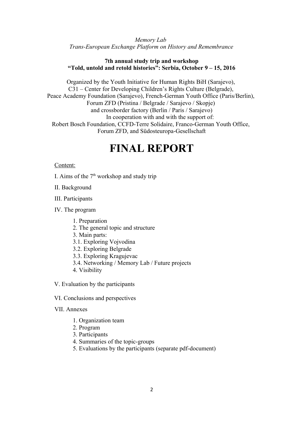*Memory Lab Trans-European Exchange Platform on History and Remembrance*

#### **7th annual study trip and workshop "Told, untold and retold histories": Serbia, October 9 – 15, 2016**

Organized by the Youth Initiative for Human Rights BiH (Sarajevo), C31 – Center for Developing Children's Rights Culture (Belgrade), Peace Academy Foundation (Sarajevo), French-German Youth Office (Paris/Berlin), Forum ZFD (Pristina / Belgrade / Sarajevo / Skopje) and crossborder factory (Berlin / Paris / Sarajevo) In cooperation with and with the support of: Robert Bosch Foundation, CCFD-Terre Solidaire, Franco-German Youth Office, Forum ZFD, and Südosteuropa-Gesellschaft

## **FINAL REPORT**

#### Content:

I. Aims of the  $7<sup>th</sup>$  workshop and study trip

II. Background

III. Participants

IV. The program

- 1. Preparation
- 2. The general topic and structure
- 3. Main parts:
- 3.1. Exploring Vojvodina
- 3.2. Exploring Belgrade
- 3.3. Exploring Kragujevac
- 3.4. Networking / Memory Lab / Future projects
- 4. Visibility

V. Evaluation by the participants

- VI. Conclusions and perspectives
- VII. Annexes
	- 1. Organization team
	- 2. Program
	- 3. Participants
	- 4. Summaries of the topic-groups
	- 5. Evaluations by the participants (separate pdf-document)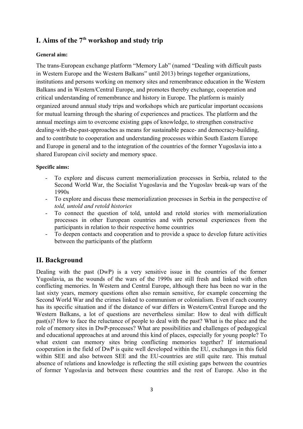## **I. Aims of the 7th workshop and study trip**

#### **General aim:**

The trans-European exchange platform "Memory Lab" (named "Dealing with difficult pasts in Western Europe and the Western Balkans" until 2013) brings together organizations, institutions and persons working on memory sites and remembrance education in the Western Balkans and in Western/Central Europe, and promotes thereby exchange, cooperation and critical understanding of remembrance and history in Europe. The platform is mainly organized around annual study trips and workshops which are particular important occasions for mutual learning through the sharing of experiences and practices. The platform and the annual meetings aim to overcome existing gaps of knowledge, to strengthen constructive dealing-with-the-past-approaches as means for sustainable peace- and democracy-building, and to contribute to cooperation and understanding processes within South Eastern Europe and Europe in general and to the integration of the countries of the former Yugoslavia into a shared European civil society and memory space.

#### **Specific aims:**

- To explore and discuss current memorialization processes in Serbia, related to the Second World War, the Socialist Yugoslavia and the Yugoslav break-up wars of the 1990s
- To explore and discuss these memorialization processes in Serbia in the perspective of *told, untold and retold histories*
- To connect the question of told, untold and retold stories with memorialization processes in other European countries and with personal experiences from the participants in relation to their respective home countries
- To deepen contacts and cooperation and to provide a space to develop future activities between the participants of the platform

## **II. Background**

Dealing with the past (DwP) is a very sensitive issue in the countries of the former Yugoslavia, as the wounds of the wars of the 1990s are still fresh and linked with often conflicting memories. In Western and Central Europe, although there has been no war in the last sixty years, memory questions often also remain sensitive, for example concerning the Second World War and the crimes linked to communism or colonialism. Even if each country has its specific situation and if the distance of war differs in Western/Central Europe and the Western Balkans, a lot of questions are nevertheless similar: How to deal with difficult past(s)? How to face the reluctance of people to deal with the past? What is the place and the role of memory sites in DwP-processes? What are possibilities and challenges of pedagogical and educational approaches at and around this kind of places, especially for young people? To what extent can memory sites bring conflicting memories together? If international cooperation in the field of DwP is quite well developed within the EU, exchanges in this field within SEE and also between SEE and the EU-countries are still quite rare. This mutual absence of relations and knowledge is reflecting the still existing gaps between the countries of former Yugoslavia and between these countries and the rest of Europe. Also in the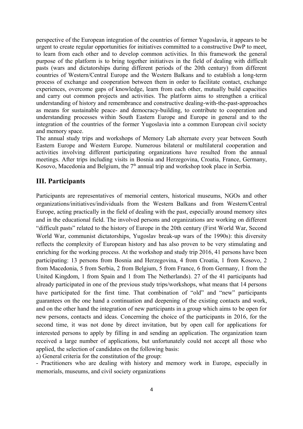perspective of the European integration of the countries of former Yugoslavia, it appears to be urgent to create regular opportunities for initiatives committed to a constructive DwP to meet, to learn from each other and to develop common activities. In this framework the general purpose of the platform is to bring together initiatives in the field of dealing with difficult pasts (wars and dictatorships during different periods of the 20th century) from different countries of Western/Central Europe and the Western Balkans and to establish a long-term process of exchange and cooperation between them in order to facilitate contact, exchange experiences, overcome gaps of knowledge, learn from each other, mutually build capacities and carry out common projects and activities. The platform aims to strengthen a critical understanding of history and remembrance and constructive dealing-with-the-past-approaches as means for sustainable peace- and democracy-building, to contribute to cooperation and understanding processes within South Eastern Europe and Europe in general and to the integration of the countries of the former Yugoslavia into a common European civil society and memory space.

The annual study trips and workshops of Memory Lab alternate every year between South Eastern Europe and Western Europe. Numerous bilateral or multilateral cooperation and activities involving different participating organizations have resulted from the annual meetings. After trips including visits in Bosnia and Herzegovina, Croatia, France, Germany, Kosovo, Macedonia and Belgium, the  $7<sup>th</sup>$  annual trip and workshop took place in Serbia.

## **III. Participants**

Participants are representatives of memorial centers, historical museums, NGOs and other organizations/initiatives/individuals from the Western Balkans and from Western/Central Europe, acting practically in the field of dealing with the past, especially around memory sites and in the educational field. The involved persons and organizations are working on different "difficult pasts" related to the history of Europe in the 20th century (First World War, Second World War, communist dictatorships, Yugoslav break-up wars of the 1990s): this diversity reflects the complexity of European history and has also proven to be very stimulating and enriching for the working process. At the workshop and study trip 2016, 41 persons have been participating: 13 persons from Bosnia and Herzegovina, 4 from Croatia, 1 from Kosovo, 2 from Macedonia, 5 from Serbia, 2 from Belgium, 5 from France, 6 from Germany, 1 from the United Kingdom, 1 from Spain and 1 from The Netherlands). 27 of the 41 participants had already participated in one of the previous study trips/workshops, what means that 14 persons have participated for the first time. That combination of "old" and "new" participants guarantees on the one hand a continuation and deepening of the existing contacts and work, and on the other hand the integration of new participants in a group which aims to be open for new persons, contacts and ideas. Concerning the choice of the participants in 2016, for the second time, it was not done by direct invitation, but by open call for applications for interested persons to apply by filling in and sending an application. The organization team received a large number of applications, but unfortunately could not accept all those who applied, the selection of candidates on the following basis:

a) General criteria for the constitution of the group:

- Practitioners who are dealing with history and memory work in Europe, especially in memorials, museums, and civil society organizations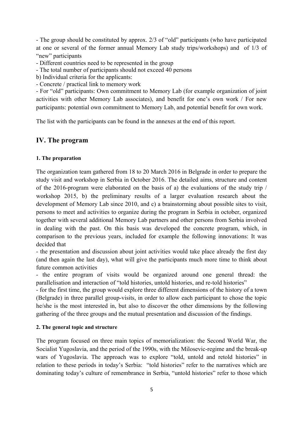- The group should be constituted by approx. 2/3 of "old" participants (who have participated at one or several of the former annual Memory Lab study trips/workshops) and of 1/3 of "new" participants

- Different countries need to be represented in the group

- The total number of participants should not exceed 40 persons

b) Individual criteria for the applicants:

- Concrete / practical link to memory work

- For "old" participants: Own commitment to Memory Lab (for example organization of joint activities with other Memory Lab associates), and benefit for one's own work / For new participants: potential own commitment to Memory Lab, and potential benefit for own work.

The list with the participants can be found in the annexes at the end of this report.

#### **IV. The program**

#### **1. The preparation**

The organization team gathered from 18 to 20 March 2016 in Belgrade in order to prepare the study visit and workshop in Serbia in October 2016. The detailed aims, structure and content of the 2016-program were elaborated on the basis of a) the evaluations of the study trip / workshop 2015, b) the preliminary results of a larger evaluation research about the development of Memory Lab since 2010, and c) a brainstorming about possible sites to visit, persons to meet and activities to organize during the program in Serbia in october, organized together with several additional Memory Lab partners and other persons from Serbia involved in dealing with the past. On this basis was developed the concrete program, which, in comparison to the previous years, included for example the following innovations: It was decided that

- the presentation and discussion about joint activities would take place already the first day (and then again the last day), what will give the participants much more time to think about future common activities

- the entire program of visits would be organized around one general thread: the parallelisation and interaction of "told histories, untold histories, and re-told histories"

- for the first time, the group would explore three different dimensions of the history of a town (Belgrade) in three parallel group-visits, in order to allow each participant to chose the topic he/she is the most interested in, but also to discover the other dimensions by the following gathering of the three groups and the mutual presentation and discussion of the findings.

#### **2. The general topic and structure**

The program focused on three main topics of memorialization: the Second World War, the Socialist Yugoslavia, and the period of the 1990s, with the Milosevic-regime and the break-up wars of Yugoslavia. The approach was to explore "told, untold and retold histories" in relation to these periods in today's Serbia: "told histories" refer to the narratives which are dominating today's culture of remembrance in Serbia, "untold histories" refer to those which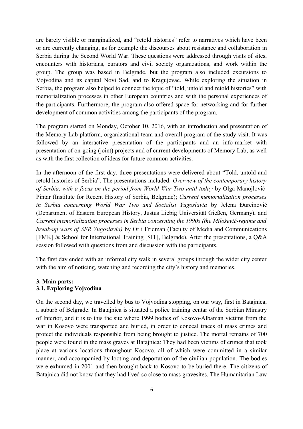are barely visible or marginalized, and "retold histories" refer to narratives which have been or are currently changing, as for example the discourses about resistance and collaboration in Serbia during the Second World War. These questions were addressed through visits of sites, encounters with historians, curators and civil society organizations, and work within the group. The group was based in Belgrade, but the program also included excursions to Vojvodina and its capital Novi Sad, and to Kragujevac. While exploring the situation in Serbia, the program also helped to connect the topic of "told, untold and retold histories" with memorialization processes in other European countries and with the personal experiences of the participants. Furthermore, the program also offered space for networking and for further development of common activities among the participants of the program.

The program started on Monday, October 10, 2016, with an introduction and presentation of the Memory Lab platform, organizational team and overall program of the study visit. It was followed by an interactive presentation of the participants and an info-market with presentation of on-going (joint) projects and of current developments of Memory Lab, as well as with the first collection of ideas for future common activities.

In the afternoon of the first day, three presentations were delivered about "Told, untold and retold histories of Serbia". The presentations included: *Overview of the contemporary history of Serbia, with a focus on the period from World War Two until today* by Olga Manojlović-Pintar (Institute for Recent History of Serbia, Belgrade); *Current memorialization processes in Serbia concerning World War Two and Socialist Yugoslavia* by Jelena Đureinović (Department of Eastern European History, Justus Liebig Universität Gießen, Germany), and *Current memorialization processes in Serbia concerning the 1990s (the Milošević-regime and break-up wars of SFR Yugoslavia)* by Orli Fridman (Faculty of Media and Communications [FMK] & School for International Training [SIT], Belgrade). After the presentations, a Q&A session followed with questions from and discussion with the participants.

The first day ended with an informal city walk in several groups through the wider city center with the aim of noticing, watching and recording the city's history and memories.

#### **3. Main parts: 3.1. Exploring Vojvodina**

On the second day, we travelled by bus to Vojvodina stopping, on our way, first in Batajnica, a suburb of Belgrade. In Batajnica is situated a police training centar of the Serbian Ministry of Interior, and it is to this the site where 1999 bodies of Kosovo-Albanian victims from the war in Kosovo were transported and buried, in order to conceal traces of mass crimes and protect the individuals responsible from being brought to justice. The mortal remains of 700 people were found in the mass graves at Batajnica: They had been victims of crimes that took place at various locations throughout Kosovo, all of which were committed in a similar manner, and accompanied by looting and deportation of the civilian population. The bodies were exhumed in 2001 and then brought back to Kosovo to be buried there. The citizens of Batajnica did not know that they had lived so close to mass gravesites. The Humanitarian Law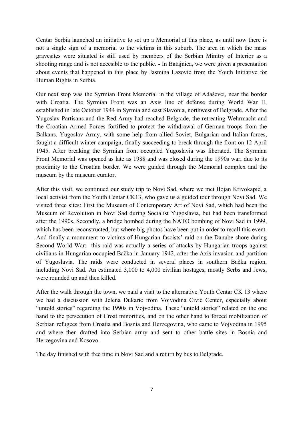Centar Serbia launched an initiative to set up a Memorial at this place, as until now there is not a single sign of a memorial to the victims in this suburb. The area in which the mass gravesites were situated is still used by members of the Serbian Minitry of Interior as a shooting range and is not accesible to the public. - In Batajnica, we were given a presentation about events that happened in this place by Jasmina Lazović from the Youth Initiative for Human Rights in Serbia.

Our next stop was the Syrmian Front Memorial in the village of Adaševci, near the border with Croatia. The Syrmian Front was an Axis line of defense during World War II, established in late October 1944 in Syrmia and east Slavonia, northwest of Belgrade. After the Yugoslav Partisans and the Red Army had reached Belgrade, the retreating Wehrmacht and the Croatian Armed Forces fortified to protect the withdrawal of German troops from the Balkans. Yugoslav Army, with some help from allied Soviet, Bulgarian and Italian forces, fought a difficult winter campaign, finally succeeding to break through the front on 12 April 1945. After breaking the Syrmian front occupied Yugoslavia was liberated. The Syrmian Front Memorial was opened as late as 1988 and was closed during the 1990s war, due to its proximity to the Croatian border. We were guided through the Memorial complex and the museum by the museum curator.

After this visit, we continued our study trip to Novi Sad, where we met Bojan Krivokapić, a local activist from the Youth Centar CK13, who gave us a guided tour through Novi Sad. We visited three sites: First the Museum of Contemporary Art of Novi Sad, which had been the Museum of Revolution in Novi Sad during Socialist Yugoslavia, but had been transformed after the 1990s. Secondly, a bridge bombed during the NATO bombing of Novi Sad in 1999, which has been reconstructed, but where big photos have been put in order to recall this event. And finally a monument to victims of Hungarian fascists' raid on the Danube shore during Second World War: this raid was actually a series of attacks by Hungarian troops against civilians in Hungarian occupied Bačka in January 1942, after the Axis invasion and partition of Yugoslavia. The raids were conducted in several places in southern Bačka region, including Novi Sad. An estimated 3,000 to 4,000 civilian hostages, mostly Serbs and Jews, were rounded up and then killed.

After the walk through the town, we paid a visit to the alternative Youth Centar CK 13 where we had a discussion with Jelena Dukaric from Vojvodina Civic Center, especially about "untold stories" regarding the 1990s in Vojvodina. These "untold stories" related on the one hand to the persecution of Croat minorities, and on the other hand to forced mobilization of Serbian refugees from Croatia and Bosnia and Herzegovina, who came to Vojvodina in 1995 and where then drafted into Serbian army and sent to other battle sites in Bosnia and Herzegovina and Kosovo.

The day finished with free time in Novi Sad and a return by bus to Belgrade.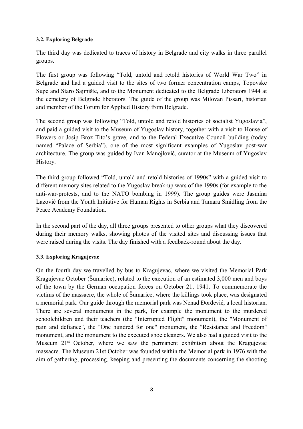#### **3.2. Exploring Belgrade**

The third day was dedicated to traces of history in Belgrade and city walks in three parallel groups.

The first group was following "Told, untold and retold histories of World War Two" in Belgrade and had a guided visit to the sites of two former concentration camps, Topovske Supe and Staro Sajmište, and to the Monument dedicated to the Belgrade Liberators 1944 at the cemetery of Belgrade liberators. The guide of the group was Milovan Pissari, historian and member of the Forum for Applied History from Belgrade.

The second group was following "Told, untold and retold histories of socialist Yugoslavia", and paid a guided visit to the Museum of Yugoslav history, together with a visit to House of Flowers or Josip Broz Tito's grave, and to the Federal Executive Council building (today named "Palace of Serbia"), one of the most significant examples of Yugoslav post-war architecture. The group was guided by Ivan Manojlović, curator at the Museum of Yugoslav History.

The third group followed "Told, untold and retold histories of 1990s" with a guided visit to different memory sites related to the Yugoslav break-up wars of the 1990s (for example to the anti-war-protests, and to the NATO bombing in 1999). The group guides were Jasmina Lazović from the Youth Initiative for Human Rights in Serbia and Tamara Šmidling from the Peace Academy Foundation.

In the second part of the day, all three groups presented to other groups what they discovered during their memory walks, showing photos of the visited sites and discussing issues that were raised during the visits. The day finished with a feedback-round about the day.

## **3.3. Exploring Kragujevac**

On the fourth day we travelled by bus to Kragujevac, where we visited the Memorial Park Kragujevac October (Šumarice), related to the execution of an estimated 3,000 men and boys of the town by the German occupation forces on October 21, 1941. To commemorate the victims of the massacre, the whole of Šumarice, where the killings took place, was designated a memorial park. Our guide through the memorial park was Nenad Đorđević, a local historian. There are several monuments in the park, for example the monument to the murdered schoolchildren and their teachers (the "Interrupted Flight" monument), the "Monument of pain and defiance", the "One hundred for one" monument, the "Resistance and Freedom" monument, and the monument to the executed shoe cleaners. We also had a guided visit to the Museum  $21<sup>st</sup>$  October, where we saw the permanent exhibition about the Kragujevac massacre. The Museum 21st October was founded within the Memorial park in 1976 with the aim of gathering, processing, keeping and presenting the documents concerning the shooting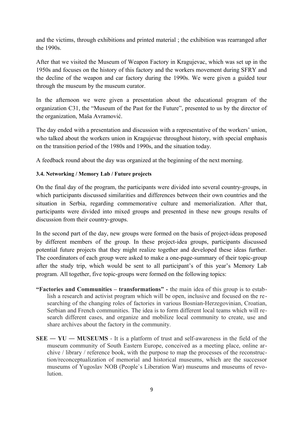and the victims, through exhibitions and printed material ; the exhibition was rearranged after the 1990s.

After that we visited the Museum of Weapon Factory in Kragujevac, which was set up in the 1950s and focuses on the history of this factory and the workers movement during SFRY and the decline of the weapon and car factory during the 1990s. We were given a guided tour through the museum by the museum curator.

In the afternoon we were given a presentation about the educational program of the organization C31, the "Museum of the Past for the Future", presented to us by the director of the organization, Maša Avramović.

The day ended with a presentation and discussion with a representative of the workers' union, who talked about the workers union in Kragujevac throughout history, with special emphasis on the transition period of the 1980s and 1990s, and the situation today.

A feedback round about the day was organized at the beginning of the next morning.

#### **3.4. Networking / Memory Lab / Future projects**

On the final day of the program, the participants were divided into several country-groups, in which participants discussed similarities and differences between their own countries and the situation in Serbia, regarding commemorative culture and memorialization. After that, participants were divided into mixed groups and presented in these new groups results of discussion from their country-groups.

In the second part of the day, new groups were formed on the basis of project-ideas proposed by different members of the group. In these project-idea groups, participants discussed potential future projects that they might realize together and developed these ideas further. The coordinators of each group were asked to make a one-page-summary of their topic-group after the study trip, which would be sent to all participant's of this year's Memory Lab program. All together, five topic-groups were formed on the following topics:

- **"Factories and Communities transformations" -** the main idea of this group is to establish a research and activist program which will be open, inclusive and focused on the researching of the changing roles of factories in various Bosnian-Herzegovinian, Croatian, Serbian and French communities. The idea is to form different local teams which will research different cases, and organize and mobilize local community to create, use and share archives about the factory in the community.
- **SEE ― YU ― MUSEUMS** It is a platform of trust and self-awareness in the field of the museum community of South Eastern Europe, conceived as a meeting place, online archive / library / reference book, with the purpose to map the processes of the reconstruction/reconceptualization of memorial and historical museums, which are the successor museums of Yugoslav NOB (People`s Liberation War) museums and museums of revolution.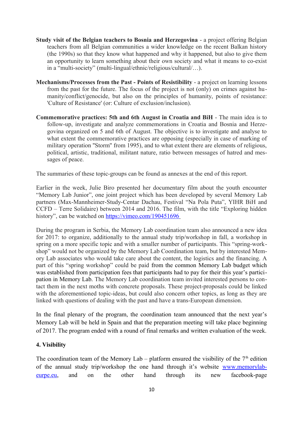- **Study visit of the Belgian teachers to Bosnia and Herzegovina** a project offering Belgian teachers from all Belgian communities a wider knowledge on the recent Balkan history (the 1990s) so that they know what happened and why it happened, but also to give them an opportunity to learn something about their own society and what it means to co-exist in a "multi-society" (multi-lingual/ethnic/religious/cultural/…).
- **Mechanisms/Processes from the Past Points of Resistibility** a project on learning lessons from the past for the future. The focus of the project is not (only) on crimes against humanity/conflict/genocide, but also on the principles of humanity, points of resistance: 'Culture of Resistance' (or: Culture of exclusion/inclusion).
- **Commemorative practices: 5th and 6th August in Croatia and BiH** The main idea is to follow-up, investigate and analyze commemorations in Croatia and Bosnia and Herzegovina organized on 5 and 6th of August. The objective is to investigate and analyse to what extent the commemorative practices are opposing (especially in case of marking of military operation ''Storm'' from 1995), and to what extent there are elements of religious, political, artistic, traditional, militant nature, ratio between messages of hatred and messages of peace.

The summaries of these topic-groups can be found as annexes at the end of this report.

Earlier in the week, Julie Biro presented her documentary film about the youth encounter "Memory Lab Junior", one joint project which has been developed by several Memory Lab partners (Max-Mannheimer-Study-Centar Dachau, Festival "Na Pola Puta", YIHR BiH and CCFD – Terre Solidaire) between 2014 and 2016. The film, with the title "Exploring hidden history", can be watched on<https://vimeo.com/190451696>

During the program in Serbia, the Memory Lab coordination team also announced a new idea for 2017: to organize, additionally to the annual study trip/workshop in fall, a workshop in spring on a more specific topic and with a smaller number of participants. This "spring-workshop" would not be organized by the Memory Lab Coordination team, but by interested Memory Lab associates who would take care about the content, the logistics and the financing. A part of this "spring workshop" could be paid from the common Memory Lab budget which was established from participation fees that participants had to pay for their this year's participation in Memory Lab. The Memory Lab coordination team invited interested persons to contact them in the next moths with concrete proposals. These project-proposals could be linked with the aforementioned topic-ideas, but could also concern other topics, as long as they are linked with questions of dealing with the past and have a trans-European dimension.

In the final plenary of the program, the coordination team announced that the next year's Memory Lab will be held in Spain and that the preparation meeting will take place beginning of 2017. The program ended with a round of final remarks and written evaluation of the week.

#### **4. Visibility**

The coordination team of the Memory Lab – platform ensured the visibility of the  $7<sup>th</sup>$  edition of the annual study trip/workshop the one hand through it's website [www.memorylab](http://www.memorylab-eurpe.eu/)[eurpe.eu,](http://www.memorylab-eurpe.eu/) and on the other hand through its new facebook-page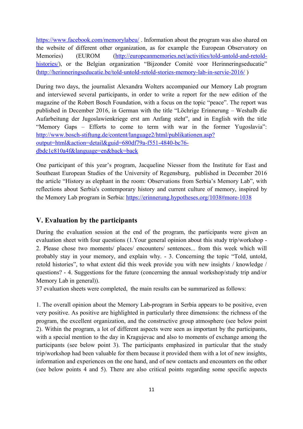<https://www.facebook.com/memorylabeu/>. Information about the program was also shared on the website of different other organization, as for example the European Observatory on Memories) (EUROM [\(http://europeanmemories.net/activities/told-untold-and-retold](http://europeanmemories.net/activities/told-untold-and-retold-histories/)[histories/\)](http://europeanmemories.net/activities/told-untold-and-retold-histories/), or the Belgian organization "Bijzonder Comité voor Herinneringseducatie" (<http://herinneringseducatie.be/told-untold-retold-stories-memory-lab-in-servie-2016/>)

During two days, the journalist Alexandra Wolters accompanied our Memory Lab program and interviewed several participants, in order to write a report for the new edition of the magazine of the Robert Bosch Foundation, with a focus on the topic "peace". The report was published in December 2016, in German with the title "Löchrige Erinnerung – Weshalb die Aufarbeitung der Jugoslawienkriege erst am Anfang steht", and in English with the title "Memory Gaps – Efforts to come to term with war in the former Yugoslavia": [http://www.bosch-stiftung.de/content/language2/html/publikationen.asp?](http://www.bosch-stiftung.de/content/language2/html/publikationen.asp?output=html&action=detail&guid=680df79a-f551-4840-bc76-dbdc1c810a4f&language=en&back=back) [output=html&action=detail&guid=680df79a-f551-4840-bc76](http://www.bosch-stiftung.de/content/language2/html/publikationen.asp?output=html&action=detail&guid=680df79a-f551-4840-bc76-dbdc1c810a4f&language=en&back=back) [dbdc1c810a4f&language=en&back=back](http://www.bosch-stiftung.de/content/language2/html/publikationen.asp?output=html&action=detail&guid=680df79a-f551-4840-bc76-dbdc1c810a4f&language=en&back=back)

One participant of this year's program, Jacqueline Niesser from the Institute for East and Southeast European Studies of the University of Regensburg, published in December 2016 the article "History as elephant in the room: Observations from Serbia's Memory Lab", with reflections about Serbia's contemporary history and current culture of memory, inspired by the Memory Lab program in Serbia: [https://erinnerung.hypotheses.org/1038#more-1038](https://l.facebook.com/l.php?u=https%3A%2F%2Ferinnerung.hypotheses.org%2F1038%23more-1038&h=2AQFABufrAQHLtmxz7v9nj0vogqGMHe_TMXhZlmRFX9x6vQ&enc=AZPv_st18Mw6zvIXf0PnJHQ1W-KvzXvUVx31tuIqhVlYmCt4BB3GQvCag9FYY_-p-3FXN6siCRpnV9xLoj-Q0URM01gwtLcnxYiJc6cdQFLH-n2_vOBuXJiuXyZpQ36dAxn3C5T2Nz_DhISfFHLGQxUJYGIlQvgcbPhAS9Z85mgECbiXTtheoWp25wZzeYtnwBYtAQPHB_1kYYgX2jXOj_aT&s=1)

#### **V. Evaluation by the participants**

During the evaluation session at the end of the program, the participants were given an evaluation sheet with four questions (1.Your general opinion about this study trip/workshop - 2. Please chose two moments/ places/ encounters/ sentences... from this week which will probably stay in your memory, and explain why. - 3. Concerning the topic "Told, untold, retold histories", to what extent did this week provide you with new insights / knowledge / questions? - 4. Suggestions for the future (concerning the annual workshop/study trip and/or Memory Lab in general)).

37 evaluation sheets were completed, the main results can be summarized as follows:

1. The overall opinion about the Memory Lab-program in Serbia appears to be positive, even very positive. As positive are highlighted in particularly three dimensions: the richness of the program, the excellent organization, and the constructive group atmosphere (see below point 2). Within the program, a lot of different aspects were seen as important by the participants, with a special mention to the day in Kragujevac and also to moments of exchange among the participants (see below point 3). The participants emphasized in particular that the study trip/workshop had been valuable for them because it provided them with a lot of new insights, information and experiences on the one hand, and of new contacts and encounters on the other (see below points 4 and 5). There are also critical points regarding some specific aspects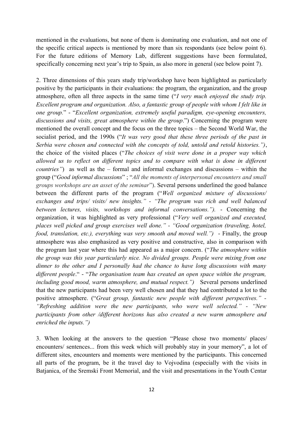mentioned in the evaluations, but none of them is dominating one evaluation, and not one of the specific critical aspects is mentioned by more than six respondants (see below point 6). For the future editions of Memory Lab, different suggestions have been formulated, specifically concerning next year's trip to Spain, as also more in general (see below point 7).

2. Three dimensions of this years study trip/workshop have been highlighted as particularly positive by the participants in their evaluations: the program, the organization, and the group atmosphere, often all three aspects in the same time ("*I very much enjoyed the study trip. Excellent program and organization. Also, a fantastic group of people with whom I felt like in one group.*" - "*Excellent organization, extremely useful paradigm, eye-opening encounters, discussions and visits, great atmosphere within the group*.") Concerning the program were mentioned the overall concept and the focus on the three topics – the Second World War, the socialist period, and the 1990s ("*It was very good that these three periods of the past in Serbia were chosen and connected with the concepts of told, untold and retold histories.")*, the choice of the visited places ("*The choices of visit were done in a proper way which allowed us to reflect on different topics and to compare with what is done in different countries"*) as well as the – formal and informal exchanges and discussions – within the group ("*Good informal discussions*" ; "*All the moments of interpersonal encounters and small groups workshops are an asset of the seminar*"). Several persons underlined the good balance between the different parts of the program ("*Well organized mixture of discussions/ exchanges and trips/ visits/ new insights." - "The program was rich and well balanced between lectures, visits, workshops and informal conversations.").* - Concerning the organization, it was highlighted as very professional ("*Very well organized and executed, places well picked and group exercises well done." - "Good organization (traveling, hotel, food, translation, etc.), everything was very smooth and moved well.")* - Finally, the group atmosphere was also emphasized as very positive and constructive, also in comparison with the program last year where this had appeared as a major concern. ("*The atmosphere within the group was this year particularly nice. No divided groups. People were mixing from one dinner to the other and I personally had the chance to have long discussions with many different people*." - "*The organisation team has created an open space within the program, including good mood, warm atmosphere, and mutual respect."*) Several persons underlined that the new participants had been very well chosen and that they had contributed a lot to the positive atmosphere. ("*Great group, fantastic new people with different perspectives." - "Refreshing addition were the new participants, who were well selected." - "New participants from other /different horizons has also created a new warm atmosphere and enriched the inputs.")* 

3. When looking at the answers to the question "Please chose two moments/ places/ encounters/ sentences... from this week which will probably stay in your memory", a lot of different sites, encounters and moments were mentioned by the participants. This concerned all parts of the program, be it the travel day to Vojvodina (especially with the visits in Batjanica, of the Sremski Front Memorial, and the visit and presentations in the Youth Centar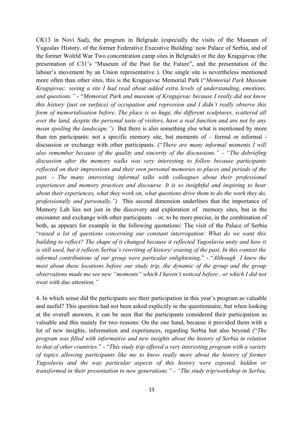CK13 in Novi Sad), the program in Belgrade (especially the visits of the Museum of Yugoslav History, of the former Federative Executive Building/ now Palace of Serbia, and of the former Wolrld War Two concentration camp sites in Belgrade) or the day Kragujevac (the presentation of C31's "Museum of the Past for the Future", and the presentation of the labour's movement by an Union representative ). One single site is nevertheless mentioned more often than other sites, this is the Kragujevac Memorial Park ("*Memorial Park Museum Kragujevac: seeing a site I had read about added extra levels of understanding, emotions, and questions."* - "*Memorial Park and museum of Kragujevac because I really did not know this history (just on surface) of occupation and repression and I didn't really observe this form of memorialisation before*. *The place is so huge, the different sculptures, scattered all over the land, despite the personal taste of visitors, have a real function and are not by any mean spoiling the landscape."*) But there is also something else what is mentioned by more than ten participants: not a specific memory site, but moments of – formal or informal discussion or exchange with other participants. ("*There are many informal moments I will also remember because of the quality and sincerity of the discussions." - "The debriefing discussion after the memory walks was very interesting to follow because participants reflected on their impressions and their own personal memories to places and periods of the past. - The many interesting informal talks with colleagues about their professional experiences and memory practices and discourse. It is so insightful and inspiring to hear about their experiences, what they work on, what questions drive them to do the work they do, professionally and personally.")* This second dimension underlines that the importance of Memory Lab lies not just in the discovery and exploration of memory sites, but in the encounter and exchange with other participants – or, to be more precise, in the combination of both, as appears for example in the following quotations: The visit of the Palace of Serbia "*raised a lot of questions concerning our constant interrogation: What do we want this building to reflect? The shape of it changed because it reflected Yugoslavia unity and how it is still used, but it reflects Serbia's rewriting of history/ erasing of the past. In this context the informal contributions of our group were particular enlightening.*" - "*Although I knew the most about these locations before our study trip, the dynamic of the group and the group observations made me see new "moments" which I haven't noticed before , or which I did not treat with due attention."*

4. In which sense did the participants see their participation in this year's program as valuable and useful? This question had not been asked explicitly in the questionnaire, but when looking at the overall answers, it can be seen that the participants considered their participation as valuable and this mainly for two reasons: On the one hand, because it provided them with a lot of new insights, information and experiences, regarding Serbia but also beyond ("*The program was filled with informative and new insights about the history of Serbia in relation to that of other countries*." - "*This study trip offered a very interesting program with a variety of topics allowing participants like me to know really more about the history of former Yugoslavia and the way particular aspects of this history were exposed, hidden or transformed in their presentation to new generations." - "The study trip/workshop in Serbia,*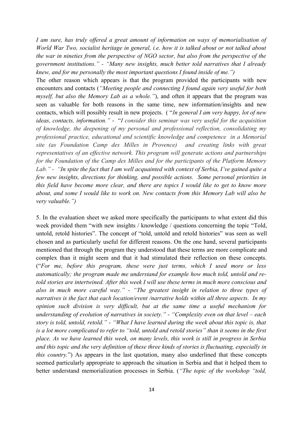*I am sure, has truly offered a great amount of information on ways of memorialisation of World War Two, socialist heritage in general, i.e. how it is talked about or not talked about the war in nineties from the perspective of NGO sector, but also from the perspective of the government institutions." - "Many new insights, much better told narratives that I already knew, and for me personally the most important questions I found inside of me.")* 

The other reason which appears is that the program provided the participants with new encounters and contacts (*"Meeting people and connecting I found again very useful for both myself, but also the Memory Lab as a whole."*), and often it appears that the program was seen as valuable for both reasons in the same time, new information/insights and new contacts, which will possibly result in new projects. ( "*In general I am very happy, lot of new ideas, contacts, information."* - "*I consider this seminar was very useful for the acquisition of knowledge, the deepening of my personal and professional reflection, consolidating my professional practice, educational and scientific knowledge and competence in a Memorial site (as Foundation Camp des Milles in Provence) and creating links with great representatives of an effective network. This program will generate actions and partnerships for the Foundation of the Camp des Milles and for the participants of the Platform Memory Lab." - "In spite the fact that I am well acquainted with context of Serbia, I've gained quite a few new insights, directions for thinking, and possible actions. Some personal priorities in this field have become more clear, and there are topics I would like to get to know more about, and some I would like to work on. New contacts from this Memory Lab will also be very valuable.")* 

5. In the evaluation sheet we asked more specifically the participants to what extent did this week provided them "with new insights / knowledge / questions concerning the topic "Told, untold, retold histories". The concept of "told, untold and retold histories" was seen as well chosen and as particularly useful for different reasons. On the one hand, several participants mentioned that through the program they understood that these terms are more complicate and complex than it might seem and that it had stimulated their reflection on these concepts. ("*For me, before this program, these were just terms, which I used more or less automatically; the program made me understand for example how much told, untold and retold stories are intertwined. After this week I will use these terms in much more conscious and also in much more careful way." - "The greatest insight in relation to three types of narratives is the fact that each location/event /narrative holds within all three aspects. In my opinion such division is very difficult, but at the same time a useful mechanism for understanding of evolution of narratives in society." - "Complexity even on that level – each story is told, untold, retold." - "What I have learned during the week about this topic is, that is a lot more complicated to refer to "told, untold and retold stories" than it seems in the first place. As we have learned this week, on many levels, this work is still in progress in Serbia and this topic and the very definition of these three kinds of stories is fluctuating, especially in this country.*") As appears in the last quotation, many also underlined that these concepts seemed particularly appropriate to approach the situation in Serbia and that it helped them to better understand memorialization processes in Serbia. (*"The topic of the workshop "told,*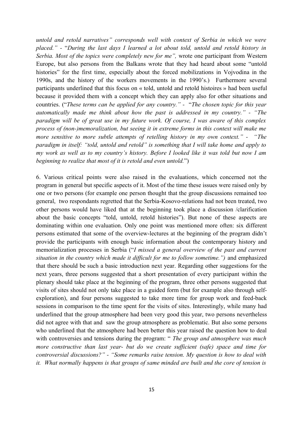*untold and retold narratives" corresponds well with context of Serbia in which we were placed." -* "*During the last days I learned a lot about told, untold and retold history in Serbia. Most of the topics were completely new for me",* wrote one participant from Western Europe, but also persons from the Balkans wrote that they had heard about some "untold histories" for the first time, especially about the forced mobilizations in Vojvodina in the 1990s, and the history of the workers movements in the 1990's.) Furthermore several participants underlined that this focus on « told, untold and retold histoires » had been useful because it provided them with a concept which they can apply also for other situations and countries. ("*These terms can be applied for any country." -* "*The chosen topic for this year automatically made me think about how the past is addressed in my country." - "The paradigm will be of great use in my future work. Of course, I was aware of this complex process of (non-)memoralization, but seeing it in extreme forms in this context will make me more sensitive to more subtle attempts of retelling history in my own context." - "The paradigm in itself: "told, untold and retold" is something that I will take home and apply to my work as well as to my country's history. Before I looked like it was told but now I am beginning to realize that most of it is retold and even untold.*")

6. Various critical points were also raised in the evaluations, which concerned not the program in general but specific aspects of it. Most of the time these issues were raised only by one or two persons (for example one person thought that the group discussions remained too general, two respondants regretted that the Serbia-Kosovo-relations had not been treated, two other persons would have liked that at the beginning took place a discussion /clarification about the basic concepts "told, untold, retold histories"). But none of these aspects are dominating within one evaluation. Only one point was mentioned more often: six different persons estimated that some of the overview-lectures at the beginning of the program didn't provide the participants with enough basic information about the contemporary history and memorialization processes in Serbia ("*I missed a general overview of the past and current situation in the country which made it difficult for me to follow sometime.")* and emphasized that there should be such a basic introduction next year. Regarding other suggestions for the next years, three persons suggested that a short presentation of every participant within the plenary should take place at the beginning of the program, three other persons suggested that visits of sites should not only take place in a guided form (but for example also through selfexploration), and four persons suggested to take more time for group work and feed-back sessions in comparison to the time spent for the visits of sites. Interestingly, while many had underlined that the group atmosphere had been very good this year, two persons nevertheless did not agree with that and saw the group atmosphere as problematic. But also some persons who underlined that the atmosphere had been better this year raised the question how to deal with controversies and tensions during the program: " *The group and atmosphere was much more constructive than last year- but do we create sufficient (safe) space and time for controversial discussions?" - "Some remarks raise tension. My question is how to deal with it. What normally happens is that groups of same minded are built and the core of tension is*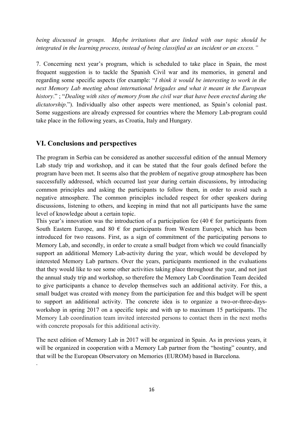*being discussed in groups. Maybe irritations that are linked with our topic should be integrated in the learning process, instead of being classified as an incident or an excess."*

7. Concerning next year's program, which is scheduled to take place in Spain, the most frequent suggestion is to tackle the Spanish Civil war and its memories, in general and regarding some specific aspects (for example: "*I think it would be interesting to work in the next Memory Lab meeting about international brigades and what it meant in the European history*." ; "*Dealing with sites of memory from the civil war that have been erected during the dictatorship*."). Individually also other aspects were mentioned, as Spain's colonial past. Some suggestions are already expressed for countries where the Memory Lab-program could take place in the following years, as Croatia, Italy and Hungary.

#### **VI. Conclusions and perspectives**

.

The program in Serbia can be considered as another successful edition of the annual Memory Lab study trip and workshop, and it can be stated that the four goals defined before the program have been met. It seems also that the problem of negative group atmosphere has been successfully addressed, which occurred last year during certain discussions, by introducing common principles and asking the participants to follow them, in order to avoid such a negative atmosphere. The common principles included respect for other speakers during discussions, listening to others, and keeping in mind that not all participants have the same level of knowledge about a certain topic.

This year's innovation was the introduction of a participation fee (40  $\epsilon$  for participants from South Eastern Europe, and 80  $\epsilon$  for participants from Western Europe), which has been introduced for two reasons. First, as a sign of commitment of the participating persons to Memory Lab, and secondly, in order to create a small budget from which we could financially support an additional Memory Lab-activity during the year, which would be developed by interested Memory Lab partners. Over the years, participants mentioned in the evaluations that they would like to see some other activities taking place throughout the year, and not just the annual study trip and workshop, so therefore the Memory Lab Coordination Team decided to give participants a chance to develop themselves such an additional activity. For this, a small budget was created with money from the participation fee and this budget will be spent to support an additional activity. The concrete idea is to organize a two-or-three-daysworkshop in spring 2017 on a specific topic and with up to maximum 15 participants. The Memory Lab coordination team invited interested persons to contact them in the next moths with concrete proposals for this additional activity.

The next edition of Memory Lab in 2017 will be organized in Spain. As in previous years, it will be organized in cooperation with a Memory Lab partner from the "hosting" country, and that will be the European Observatory on Memories (EUROM) based in Barcelona.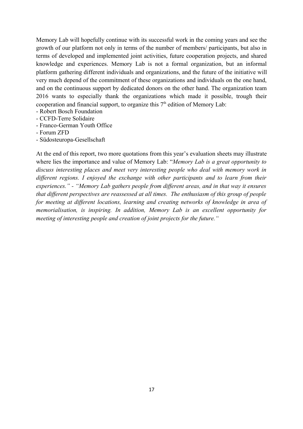Memory Lab will hopefully continue with its successful work in the coming years and see the growth of our platform not only in terms of the number of members/ participants, but also in terms of developed and implemented joint activities, future cooperation projects, and shared knowledge and experiences. Memory Lab is not a formal organization, but an informal platform gathering different individuals and organizations, and the future of the initiative will very much depend of the commitment of these organizations and individuals on the one hand, and on the continuous support by dedicated donors on the other hand. The organization team 2016 wants to especially thank the organizations which made it possible, trough their cooperation and financial support, to organize this  $7<sup>th</sup>$  edition of Memory Lab:

- Robert Bosch Foundation
- CCFD-Terre Solidaire
- Franco-German Youth Office
- Forum ZFD
- Südosteuropa-Gesellschaft

At the end of this report, two more quotations from this year's evaluation sheets may illustrate where lies the importance and value of Memory Lab: "*Memory Lab is a great opportunity to discuss interesting places and meet very interesting people who deal with memory work in different regions. I enjoyed the exchange with other participants and to learn from their experiences." - "Memory Lab gathers people from different areas, and in that way it ensures that different perspectives are reassessed at all times. The enthusiasm of this group of people for meeting at different locations, learning and creating networks of knowledge in area of memorialisation, is inspiring. In addition, Memory Lab is an excellent opportunity for meeting of interesting people and creation of joint projects for the future."*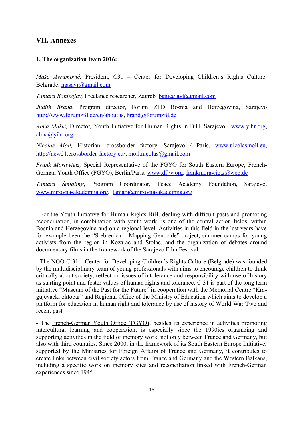#### **VII. Annexes**

#### **1. The organization team 2016:**

*Maša Avramović,* President, C31 – Center for Developing Children's Rights Culture, Belgrade, [masavr@gmail.com](mailto:masavr@gmail.com)

*Tamara Banjeglav,* Freelance researcher, Zagreb*,* [banjeglavt@gmail.com](mailto:banjeglavt@gmail.com)

*Judith Brand*, Program director, Forum ZFD Bosnia and Herzegovina, Sarajevo [http://www.forumzfd.de/en/aboutus,](http://www.forumzfd.de/en/aboutus) [brand@forumzfd.de](mailto:brand@forumzfd.de)

*Alma Mašić,* Director*,* Youth Initiative for Human Rights in BiH, Sarajevo, [www.yihr.org,](http://www.yihr.org/) [alma@yihr.org](mailto:alma@yihr.org)

*Nicolas Moll,* Historian, crossborder factory, Sarajevo / Paris, [www.nicolasmoll.eu,](http://www.nicolasmoll.eu/) [http://new21.crossborder-factory.eu/,](http://new21.crossborder-factory.eu/) [moll.nicolas@gmail.com](mailto:moll.nicolas@gmail.com)

*Frank Morawietz,* Special Representative of the FGYO for South Eastern Europe, French-German Youth Office (FGYO), Berlin/Paris, [www.dfjw.org,](http://www.dfjw.org/) [frankmorawietz@web.de](mailto:frankmorawietz@web.de)

*Tamara Šmidling*, Program Coordinator, Peace Academy Foundation, Sarajevo, [www.mirovna-akademija.org,](http://www.mirovna-akademija.org/) [tamara@mirovna-akademija.org](mailto:tamara@mirovna-akademija.org)

- For the Youth Initiative for Human Rights BiH, dealing with difficult pasts and promoting reconciliation, in combination with youth work, is one of the central action fields, within Bosnia and Herzegovina and on a regional level. Activities in this field in the last years have for example been the "Srebrenica – Mapping Genocide"-project, summer camps for young activists from the region in Kozarac and Stolac, and the organization of debates around documentary films in the framework of the Sarajevo Film Festival.

- The NGO  $C$  31 – Center for Developing Children's Rights Culture (Belgrade) was founded by the multidisciplinary team of young professionals with aims to encourage children to think critically about society, reflect on issues of intolerance and responsibility with use of history as starting point and foster values of human rights and tolerance. C 31 is part of the long term initiative "Museum of the Past for the Future" in cooperation with the Memorial Centre "Kragujevacki oktobar" and Regional Office of the Ministry of Education which aims to develop a platform for education in human right and tolerance by use of history of World War Two and recent past.

**-** The French-German Youth Office (FGYO), besides its experience in activities promoting intercultural learning and cooperation, is especially since the 1990ies organizing and supporting activities in the field of memory work, not only between France and Germany, but also with third countries. Since 2000, in the framework of its South Eastern Europe Initiative, supported by the Ministries for Foreign Affairs of France and Germany, it contributes to create links between civil society actors from France and Germany and the Western Balkans, including a specific work on memory sites and reconciliation linked with French-German experiences since 1945.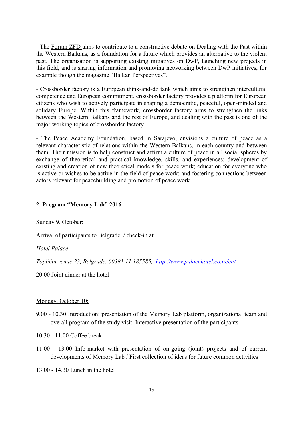- The Forum ZFD aims to contribute to a constructive debate on Dealing with the Past within the Western Balkans, as a foundation for a future which provides an alternative to the violent past. The organisation is supporting existing initiatives on DwP, launching new projects in this field, and is sharing information and promoting networking between DwP initiatives, for example though the magazine "Balkan Perspectives".

- Crossborder factory is a European think-and-do tank which aims to strengthen intercultural competence and European commitment. crossborder factory provides a platform for European citizens who wish to actively participate in shaping a democratic, peaceful, open-minded and solidary Europe. Within this framework, crossborder factory aims to strengthen the links between the Western Balkans and the rest of Europe, and dealing with the past is one of the major working topics of crossborder factory.

- The Peace Academy Foundation, based in Sarajevo, envisions a culture of peace as a relevant characteristic of relations within the Western Balkans, in each country and between them. Their mission is to help construct and affirm a culture of peace in all social spheres by exchange of theoretical and practical knowledge, skills, and experiences; development of existing and creation of new theoretical models for peace work; education for everyone who is active or wishes to be active in the field of peace work; and fostering connections between actors relevant for peacebuilding and promotion of peace work.

#### **2. Program "Memory Lab" 2016**

#### Sunday 9. October:

Arrival of participants to Belgrade / check-in at

*Hotel Palace*

*Topličin venac 23, Belgrade, 00381 11 185585, <http://www.palacehotel.co.rs/en/>*

20.00 Joint dinner at the hotel

#### Monday, October 10:

9.00 - 10.30 Introduction: presentation of the Memory Lab platform, organizational team and overall program of the study visit. Interactive presentation of the participants

10.30 - 11.00 Coffee break

11.00 - 13.00 Info-market with presentation of on-going (joint) projects and of current developments of Memory Lab / First collection of ideas for future common activities

13.00 - 14.30 Lunch in the hotel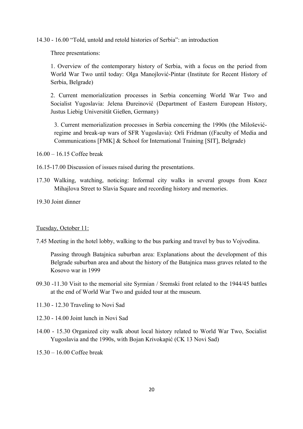14.30 - 16.00 "Told, untold and retold histories of Serbia": an introduction

Three presentations:

1. Overview of the contemporary history of Serbia, with a focus on the period from World War Two until today: Olga Manojlović-Pintar (Institute for Recent History of Serbia, Belgrade)

2. Current memorialization processes in Serbia concerning World War Two and Socialist Yugoslavia: Jelena Đureinović (Department of Eastern European History, Justus Liebig Universität Gießen, Germany)

3. Current memorialization processes in Serbia concerning the 1990s (the Miloševićregime and break-up wars of SFR Yugoslavia): Orli Fridman ((Faculty of Media and Communications [FMK] & School for International Training [SIT], Belgrade)

16.00 – 16.15 Coffee break

- 16.15-17.00 Discussion of issues raised during the presentations.
- 17.30 Walking, watching, noticing: Informal city walks in several groups from Knez Mihajlova Street to Slavia Square and recording history and memories.

19.30 Joint dinner

#### Tuesday, October 11:

7.45 Meeting in the hotel lobby, walking to the bus parking and travel by bus to Vojvodina.

Passing through Batajnica suburban area: Explanations about the development of this Belgrade suburban area and about the history of the Batajnica mass graves related to the Kosovo war in 1999

- 09.30 -11.30 Visit to the memorial site Syrmian / Sremski front related to the 1944/45 battles at the end of World War Two and guided tour at the museum.
- 11.30 12.30 Traveling to Novi Sad
- 12.30 14.00 Joint lunch in Novi Sad
- 14.00 15.30 Organized city walk about local history related to World War Two, Socialist Yugoslavia and the 1990s, with Bojan Krivokapić (CK 13 Novi Sad)

15.30 – 16.00 Coffee break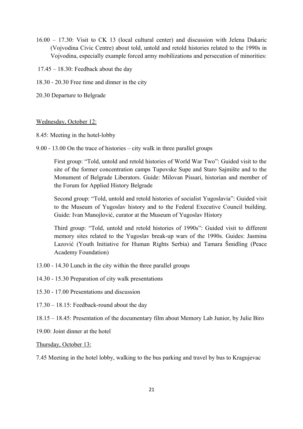- 16.00 17.30: Visit to CK 13 (local cultural center) and discussion with Jelena Dukaric (Vojvodina Civic Centre) about told, untold and retold histories related to the 1990s in Vojvodina, especially example forced army mobilizations and persecution of minorities:
- $17.45 18.30$ : Feedback about the day
- 18.30 20.30 Free time and dinner in the city
- 20.30 Departure to Belgrade

#### Wednesday, October 12:

- 8.45: Meeting in the hotel-lobby
- 9.00 13.00 On the trace of histories city walk in three parallel groups

First group: "Told, untold and retold histories of World War Two": Guided visit to the site of the former concentration camps Tupovske Supe and Staro Sajmište and to the Monument of Belgrade Liberators. Guide: Milovan Pissari, historian and member of the Forum for Applied History Belgrade

Second group: "Told, untold and retold histories of socialist Yugoslavia": Guided visit to the Museum of Yugoslav history and to the Federal Executive Council building. Guide: Ivan Manojlović, curator at the Museum of Yugoslav History

Third group: "Told, untold and retold histories of 1990s": Guided visit to different memory sites related to the Yugoslav break-up wars of the 1990s. Guides: Jasmina Lazović (Youth Initiative for Human Rights Serbia) and Tamara Šmidling (Peace Academy Foundation)

- 13.00 14.30 Lunch in the city within the three parallel groups
- 14.30 15.30 Preparation of city walk presentations
- 15.30 17.00 Presentations and discussion
- 17.30 18.15: Feedback-round about the day
- 18.15 18.45: Presentation of the documentary film about Memory Lab Junior, by Julie Biro
- 19.00: Joint dinner at the hotel

Thursday, October 13:

7.45 Meeting in the hotel lobby, walking to the bus parking and travel by bus to Kragujevac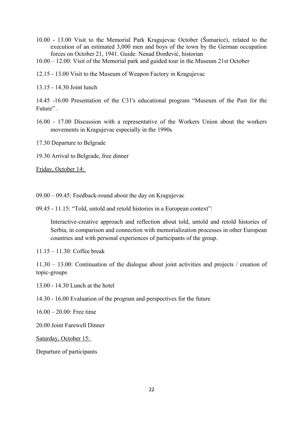- 10.00 13.00 Visit to the Memorial Park Kragujevac October (Šumarice), related to the execution of an estimated 3,000 men and boys of the town by the German occupation forces on October 21, 1941. Guide: Nenad Đorđević, historian
- 10.00 12.00: Visit of the Memorial park and guided tour in the Museum 21st October
- 12.15 13.00 Visit to the Museum of Weapon Factory in Kragujevac

13.15 - 14.30 Joint lunch

14.45 -16.00 Presentation of the C31's educational program "Museum of the Past for the Future".

- 16.00 17.00 Discussion with a representative of the Workers Union about the workers movements in Kragujevac especially in the 1990s
- 17.30 Departure to Belgrade

19.30 Arrival to Belgrade, free dinner

Friday, October 14:

- 09.00 09.45: Feedback-round about the day on Kragujevac
- 09.45 11.15: "Told, untold and retold histories in a European context":

Interactive-creative approach and reflection about told, untold and retold histories of Serbia, in comparison and connection with memorialization processes in other European countries and with personal experiences of participants of the group.

11.15 – 11.30: Coffee break

11.30 – 13.00: Continuation of the dialogue about joint activities and projects / creation of topic-groups

13.00 - 14.30 Lunch at the hotel

14.30 - 16.00 Evaluation of the program and perspectives for the future

 $16.00 - 20.00$ : Free time

20.00 Joint Farewell Dinner

Saturday, October 15:

Departure of participants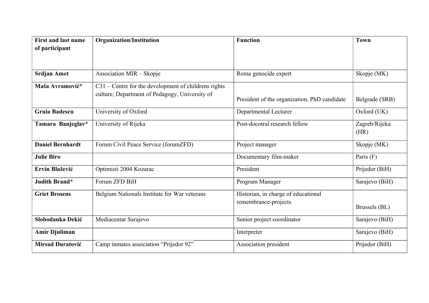| <b>First and last name</b><br>of participant | <b>Organization/Institution</b>                      | <b>Function</b>                              | <b>Town</b>           |
|----------------------------------------------|------------------------------------------------------|----------------------------------------------|-----------------------|
|                                              |                                                      |                                              |                       |
|                                              |                                                      |                                              |                       |
| <b>Srdjan Amet</b>                           | Association MIR - Skopje                             | Roma genocide expert                         | Skopje (MK)           |
| Maša Avramović*                              | C31 – Centre for the development of childrens rights |                                              |                       |
|                                              | culture; Department of Pedagogy, University of       | President of the organization, PhD candidate | Belgrade (SRB)        |
| <b>Gruia Badescu</b>                         | University of Oxford                                 | Departmental Lecturer                        | Oxford (UK)           |
| Tamara Banjeglav*                            | University of Rijeka                                 | Post-docotral research fellow                | Zagreb/Rijeka<br>(HR) |
| <b>Daniel Bernhardt</b>                      | Forum Civil Peace Service (forumZFD)                 | Project manager                              | Skopje (MK)           |
| <b>Julie Biro</b>                            |                                                      | Documentary film-maker                       | Paris (F)             |
| Ervin Blažević                               | Optimisti 2004 Kozarac                               | President                                    | Prijedor (BiH)        |
| Judith Brand*                                | Forum ZFD BiH                                        | Program Manager                              | Sarajevo (BiH)        |
| <b>Griet Brosens</b>                         | Belgium Nationals Institute for War veterans         | Historian, in charge of educational          |                       |
|                                              |                                                      | remembrance-projects                         | Brussels (BL)         |
| Slobodanka Dekić                             | Mediacentar Sarajevo                                 | Senior project coordinator                   | Sarajevo (BiH)        |
| <b>Amir Djuliman</b>                         |                                                      | Interpreter                                  | Sarajevo (BiH)        |
| <b>Mirsad Duratović</b>                      | Camp inmates association "Prijedor 92"               | Association president                        | Prijedor (BiH)        |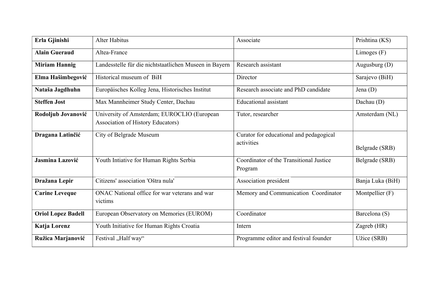| Erla Gjinishi             | <b>Alter Habitus</b>                                                                    | Associate                                             | Prishtina (KS)   |
|---------------------------|-----------------------------------------------------------------------------------------|-------------------------------------------------------|------------------|
| <b>Alain Gueraud</b>      | Altea-France                                                                            |                                                       | Limoges (F)      |
| <b>Miriam Hannig</b>      | Landesstelle für die nichtstaatlichen Museen in Bayern                                  | Research assistant                                    | Augusburg (D)    |
| Elma Hašimbegović         | Historical museum of BiH                                                                | Director                                              | Sarajevo (BiH)   |
| Nataša Jagdhuhn           | Europäisches Kolleg Jena, Historisches Institut                                         | Research associate and PhD candidate                  | Jena $(D)$       |
| <b>Steffen Jost</b>       | Max Mannheimer Study Center, Dachau                                                     | <b>Educational</b> assistant                          | Dachau (D)       |
| Rodoljub Jovanović        | University of Amsterdam; EUROCLIO (European<br><b>Association of History Educators)</b> | Tutor, researcher                                     | Amsterdam (NL)   |
| Dragana Latinčić          | City of Belgrade Museum                                                                 | Curator for educational and pedagogical<br>activities | Belgrade (SRB)   |
| Jasmina Lazović           | Youth Intiative for Human Rights Serbia                                                 | Coordinator of the Transitional Justice<br>Program    | Belgrade (SRB)   |
| Dražana Lepir             | Citizens' association 'Oštra nula'                                                      | Association president                                 | Banja Luka (BiH) |
| <b>Carine Leveque</b>     | ONAC National office for war veterans and war<br>victims                                | Memory and Communication Coordinator                  | Montpellier (F)  |
| <b>Oriol Lopez Badell</b> | European Observatory on Memories (EUROM)                                                | Coordinator                                           | Barcelona (S)    |
| Katja Lorenz              | Youth Initiative for Human Rights Croatia                                               | Intern                                                | Zagreb (HR)      |
| Ružica Marjanović         | Festival "Half way"                                                                     | Programme editor and festival founder                 | Užice (SRB)      |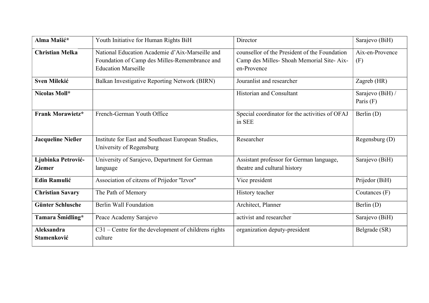| Alma Mašić*                      | Youth Initiative for Human Rights BiH                                                                                          | Director                                                                                                  | Sarajevo (BiH)                  |
|----------------------------------|--------------------------------------------------------------------------------------------------------------------------------|-----------------------------------------------------------------------------------------------------------|---------------------------------|
| <b>Christian Melka</b>           | National Education Academie d'Aix-Marseille and<br>Foundation of Camp des Milles-Remembrance and<br><b>Education Marseille</b> | counsellor of the President of the Foundation<br>Camp des Milles- Shoah Memorial Site-Aix-<br>en-Provence | Aix-en-Provence<br>(F)          |
| <b>Sven Milekić</b>              | Balkan Investigative Reporting Network (BIRN)                                                                                  | Jouranlist and researcher                                                                                 | Zagreb (HR)                     |
| Nicolas Moll*                    |                                                                                                                                | <b>Historian and Consultant</b>                                                                           | Sarajevo (BiH) /<br>Paris $(F)$ |
| <b>Frank Morawietz*</b>          | French-German Youth Office                                                                                                     | Special coordinator for the activities of OFAJ<br>in SEE                                                  | Berlin (D)                      |
| <b>Jacqueline Nießer</b>         | Institute for East and Southeast European Studies,<br>University of Regensburg                                                 | Researcher                                                                                                | Regensburg (D)                  |
| Ljubinka Petrović-               | University of Sarajevo, Department for German                                                                                  | Assistant professor for German language,                                                                  | Sarajevo (BiH)                  |
| <b>Ziemer</b>                    | language                                                                                                                       | theatre and cultural history                                                                              |                                 |
| <b>Edin Ramulić</b>              | Association of citzens of Prijedor "Izvor"                                                                                     | Vice president                                                                                            | Prijedor (BiH)                  |
| <b>Christian Savary</b>          | The Path of Memory                                                                                                             | History teacher                                                                                           | Coutances $(F)$                 |
| <b>Günter Schlusche</b>          | Berlin Wall Foundation                                                                                                         | Architect, Planner                                                                                        | Berlin (D)                      |
| Tamara Smidling*                 | Peace Academy Sarajevo                                                                                                         | activist and researcher                                                                                   | Sarajevo (BiH)                  |
| <b>Aleksandra</b><br>Stamenković | $C31$ – Centre for the development of childrens rights<br>culture                                                              | organization deputy-president                                                                             | Belgrade (SR)                   |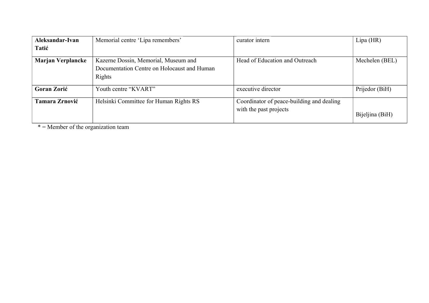| Aleksandar-Ivan          | Memorial centre 'Lipa remembers'            | curator intern                            | $Lipa$ (HR)     |
|--------------------------|---------------------------------------------|-------------------------------------------|-----------------|
| Tatić                    |                                             |                                           |                 |
| <b>Marjan Verplancke</b> | Kazerne Dossin, Memorial, Museum and        | Head of Education and Outreach            | Mechelen (BEL)  |
|                          | Documentation Centre on Holocaust and Human |                                           |                 |
|                          | Rights                                      |                                           |                 |
| <b>Goran Zorić</b>       | Youth centre "KVART"                        | executive director                        | Prijedor (BiH)  |
| <b>Tamara Zrnović</b>    | Helsinki Committee for Human Rights RS      | Coordinator of peace-building and dealing |                 |
|                          |                                             | with the past projects                    | Bijeljina (BiH) |

 $* =$  Member of the organization team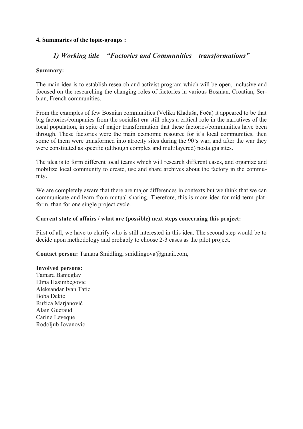## **4. Summaries of the topic-groups :**

## *1) Working title – "Factories and Communities – transformations"*

#### **Summary:**

The main idea is to establish research and activist program which will be open, inclusive and focused on the researching the changing roles of factories in various Bosnian, Croatian, Serbian, French communities.

From the examples of few Bosnian communities (Velika Kladuša, Foča) it appeared to be that big factories/companies from the socialist era still plays a critical role in the narratives of the local population, in spite of major transformation that these factories/communities have been through. These factories were the main economic resource for it's local communities, then some of them were transformed into atrocity sites during the 90's war, and after the war they were constituted as specific (although complex and multilayered) nostalgia sites.

The idea is to form different local teams which will research different cases, and organize and mobilize local community to create, use and share archives about the factory in the community.

We are completely aware that there are major differences in contexts but we think that we can communicate and learn from mutual sharing. Therefore, this is more idea for mid-term platform, than for one single project cycle.

#### **Current state of affairs / what are (possible) next steps concerning this project:**

First of all, we have to clarify who is still interested in this idea. The second step would be to decide upon methodology and probably to choose 2-3 cases as the pilot project.

**Contact person:** Tamara Šmidling, smidlingova@gmail.com,

#### **Involved persons:**

Tamara Banjeglav Elma Hasimbegovic Aleksandar Ivan Tatic Boba Dekic Ružica Marjanović Alain Gueraud Carine Leveque Rodoljub Jovanović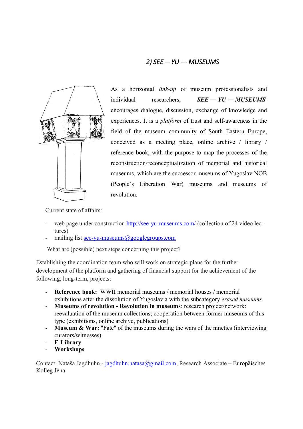## *2) SEE― YU ― MUSEUMS*



As a horizontal *link-up* of museum professionalists and individual researchers, *SEE ― YU ― MUSEUMS* encourages dialogue, discussion, exchange of knowledge and experiences. It is a *platform* of trust and self-awareness in the field of the museum community of South Eastern Europe, conceived as a meeting place, online archive / library / reference book, with the purpose to map the processes of the reconstruction/reconceptualization of memorial and historical museums, which are the successor museums of Yugoslav NOB (People`s Liberation War) museums and museums of revolution.

Current state of affairs:

- web page under construction<http://see-yu-museums.com/>(collection of 24 video lectures)
- mailing list [see-yu-museums@googlegroups.com](mailto:see-yu-museums@googlegroups.com)

What are (possible) next steps concerning this project?

Establishing the coordination team who will work on strategic plans for the further development of the platform and gathering of financial support for the achievement of the following, long-term, projects:

- **Reference book:** WWII memorial museums / memorial houses / memorial exhibitions after the dissolution of Yugoslavia with the subcategory *erased museums.*
- **Museums of revolution Revolution in museums**: research project/network: reevaluation of the museum collections; cooperation between former museums of this type (exhibitions, online archive, publications)
- **Museum & War:** "Fate" of the museums during the wars of the nineties (interviewing curators/witnesses)
- **E-Library**
- **Workshops**

Contact: Nataša Jagdhuhn - [jagdhuhn.natasa@gmail.com,](mailto:jagdhuhn.natasa@gmail.com) Research Associate – Europäisches Kolleg Jena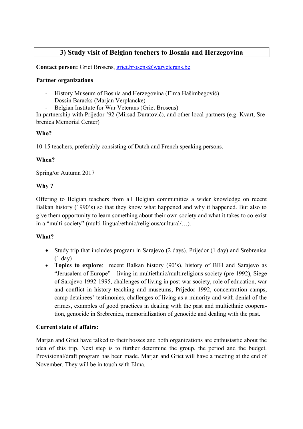## **3) Study visit of Belgian teachers to Bosnia and Herzegovina**

**Contact person:** Griet Brosens, [griet.brosens@warveterans.be](mailto:griet.brosens@warveterans.be)

## **Partner organizations**

- History Museum of Bosnia and Herzegovina (Elma Hašimbegović)
- Dossin Baracks (Marjan Verplancke)
- Belgian Institute for War Veterans (Griet Brosens)

In partnership with Prijedor '92 (Mirsad Duratović), and other local partners (e.g. Kvart, Srebrenica Memorial Center)

## **Who?**

10-15 teachers, preferably consisting of Dutch and French speaking persons.

## **When?**

Spring/or Autumn 2017

## **Why ?**

Offering to Belgian teachers from all Belgian communities a wider knowledge on recent Balkan history (1990's) so that they know what happened and why it happened. But also to give them opportunity to learn something about their own society and what it takes to co-exist in a "multi-society" (multi-lingual/ethnic/religious/cultural/…).

## **What?**

- Study trip that includes program in Sarajevo (2 days), Prijedor (1 day) and Srebrenica (1 day)
- **Topics to explore**: recent Balkan history (90's), history of BIH and Sarajevo as "Jerusalem of Europe" – living in multiethnic/multireligious society (pre-1992), Siege of Sarajevo 1992-1995, challenges of living in post-war society, role of education, war and conflict in history teaching and museums, Prijedor 1992, concentration camps, camp detainees' testimonies, challenges of living as a minority and with denial of the crimes, examples of good practices in dealing with the past and multiethnic cooperation, genocide in Srebrenica, memorialization of genocide and dealing with the past.

## **Current state of affairs:**

Marjan and Griet have talked to their bosses and both organizations are enthusiastic about the idea of this trip. Next step is to further determine the group, the period and the budget. Provisional/draft program has been made. Marjan and Griet will have a meeting at the end of November. They will be in touch with Elma.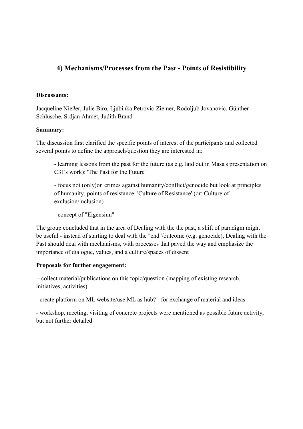## **4) Mechanisms/Processes from the Past - Points of Resistibility**

#### **Discussants:**

Jacqueline Nießer, Julie Biro, Ljubinka Petrovic-Ziemer, Rodoljub Jovanovic, Günther Schlusche, Srdjan Ahmet, Judith Brand

#### **Summary:**

The discussion first clarified the specific points of interest of the participants and collected several points to define the approach/question they are interested in:

- learning lessons from the past for the future (as e.g. laid out in Masa's presentation on C31's work): 'The Past for the Future'

- focus not (only)on crimes against humanity/conflict/genocide but look at principles of humanity, points of resistance: 'Culture of Resistance' (or: Culture of exclusion/inclusion)

- concept of "Eigensinn"

The group concluded that in the area of Dealing with the the past, a shift of paradigm might be useful - instead of starting to deal with the "end"/outcome (e.g. genocide), Dealing with the Past should deal with mechanisms, with processes that paved the way and emphasize the importance of dialogue, values, and a culture/spaces of dissent

## **Proposals for further engagement:**

- collect material/publications on this topic/question (mapping of existing research, initiatives, activities)

- create platform on ML website/use ML as hub? - for exchange of material and ideas

- workshop, meeting, visiting of concrete projects were mentioned as possible future activity, but not further detailed